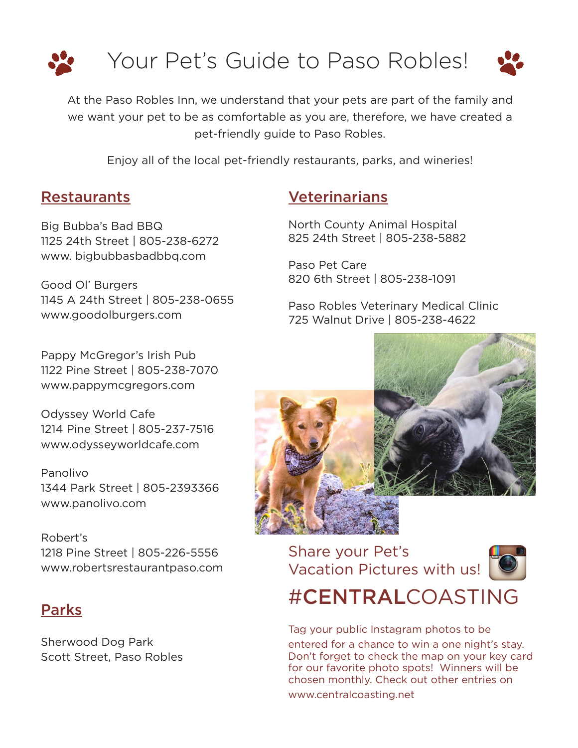

At the Paso Robles Inn, we understand that your pets are part of the family and we want your pet to be as comfortable as you are, therefore, we have created a pet-friendly guide to Paso Robles.

Enjoy all of the local pet-friendly restaurants, parks, and wineries!

## Restaurants

Big Bubba's Bad BBQ 1125 24th Street | 805-238-6272 www. bigbubbasbadbbq.com

Good Ol' Burgers 1145 A 24th Street | 805-238-0655 www.goodolburgers.com

Pappy McGregor's Irish Pub 1122 Pine Street | 805-238-7070 www.pappymcgregors.com

Odyssey World Cafe 1214 Pine Street | 805-237-7516 www.odysseyworldcafe.com

Panolivo 1344 Park Street | 805-2393366 www.panolivo.com

Robert's 1218 Pine Street | 805-226-5556 www.robertsrestaurantpaso.com

## Parks

Sherwood Dog Park Scott Street, Paso Robles

## Veterinarians

North County Animal Hospital 825 24th Street | 805-238-5882

Paso Pet Care 820 6th Street | 805-238-1091

Paso Robles Veterinary Medical Clinic 725 Walnut Drive | 805-238-4622



Share your Pet's Vacation Pictures with us!



#CENTRALCOASTING

Tag your public Instagram photos to be entered for a chance to win a one night's stay. Don't forget to check the map on your key card for our favorite photo spots! Winners will be chosen monthly. Check out other entries on www.centralcoasting.net